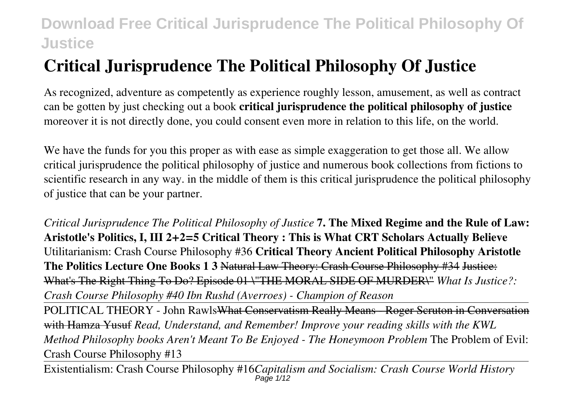# **Critical Jurisprudence The Political Philosophy Of Justice**

As recognized, adventure as competently as experience roughly lesson, amusement, as well as contract can be gotten by just checking out a book **critical jurisprudence the political philosophy of justice** moreover it is not directly done, you could consent even more in relation to this life, on the world.

We have the funds for you this proper as with ease as simple exaggeration to get those all. We allow critical jurisprudence the political philosophy of justice and numerous book collections from fictions to scientific research in any way. in the middle of them is this critical jurisprudence the political philosophy of justice that can be your partner.

*Critical Jurisprudence The Political Philosophy of Justice* **7. The Mixed Regime and the Rule of Law: Aristotle's Politics, I, III 2+2=5 Critical Theory : This is What CRT Scholars Actually Believe** Utilitarianism: Crash Course Philosophy #36 **Critical Theory Ancient Political Philosophy Aristotle The Politics Lecture One Books 1 3** Natural Law Theory: Crash Course Philosophy #34 Justice: What's The Right Thing To Do? Episode 01 \"THE MORAL SIDE OF MURDER\" *What Is Justice?: Crash Course Philosophy #40 Ibn Rushd (Averroes) - Champion of Reason*

POLITICAL THEORY - John RawlsWhat Conservatism Really Means - Roger Scruton in Conversation with Hamza Yusuf *Read, Understand, and Remember! Improve your reading skills with the KWL Method Philosophy books Aren't Meant To Be Enjoyed - The Honeymoon Problem* The Problem of Evil: Crash Course Philosophy #13

Existentialism: Crash Course Philosophy #16*Capitalism and Socialism: Crash Course World History* Page 1/12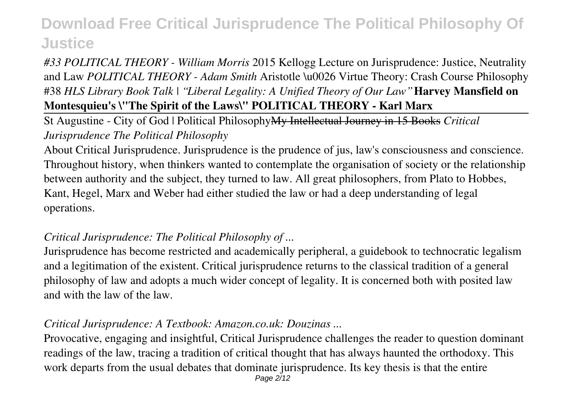### *#33 POLITICAL THEORY - William Morris* 2015 Kellogg Lecture on Jurisprudence: Justice, Neutrality and Law *POLITICAL THEORY - Adam Smith* Aristotle \u0026 Virtue Theory: Crash Course Philosophy #38 *HLS Library Book Talk | "Liberal Legality: A Unified Theory of Our Law"* **Harvey Mansfield on Montesquieu's \"The Spirit of the Laws\" POLITICAL THEORY - Karl Marx**

St Augustine - City of God | Political PhilosophyMy Intellectual Journey in 15 Books *Critical Jurisprudence The Political Philosophy*

About Critical Jurisprudence. Jurisprudence is the prudence of jus, law's consciousness and conscience. Throughout history, when thinkers wanted to contemplate the organisation of society or the relationship between authority and the subject, they turned to law. All great philosophers, from Plato to Hobbes, Kant, Hegel, Marx and Weber had either studied the law or had a deep understanding of legal operations.

### *Critical Jurisprudence: The Political Philosophy of ...*

Jurisprudence has become restricted and academically peripheral, a guidebook to technocratic legalism and a legitimation of the existent. Critical jurisprudence returns to the classical tradition of a general philosophy of law and adopts a much wider concept of legality. It is concerned both with posited law and with the law of the law.

### *Critical Jurisprudence: A Textbook: Amazon.co.uk: Douzinas ...*

Provocative, engaging and insightful, Critical Jurisprudence challenges the reader to question dominant readings of the law, tracing a tradition of critical thought that has always haunted the orthodoxy. This work departs from the usual debates that dominate jurisprudence. Its key thesis is that the entire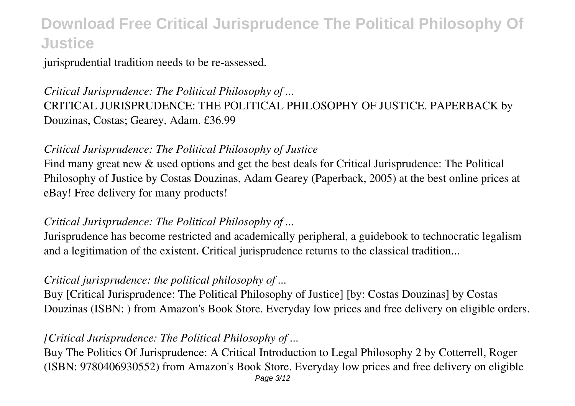jurisprudential tradition needs to be re-assessed.

## *Critical Jurisprudence: The Political Philosophy of ...* CRITICAL JURISPRUDENCE: THE POLITICAL PHILOSOPHY OF JUSTICE. PAPERBACK by Douzinas, Costas; Gearey, Adam. £36.99

### *Critical Jurisprudence: The Political Philosophy of Justice*

Find many great new & used options and get the best deals for Critical Jurisprudence: The Political Philosophy of Justice by Costas Douzinas, Adam Gearey (Paperback, 2005) at the best online prices at eBay! Free delivery for many products!

### *Critical Jurisprudence: The Political Philosophy of ...*

Jurisprudence has become restricted and academically peripheral, a guidebook to technocratic legalism and a legitimation of the existent. Critical jurisprudence returns to the classical tradition...

### *Critical jurisprudence: the political philosophy of ...*

Buy [Critical Jurisprudence: The Political Philosophy of Justice] [by: Costas Douzinas] by Costas Douzinas (ISBN: ) from Amazon's Book Store. Everyday low prices and free delivery on eligible orders.

### *[Critical Jurisprudence: The Political Philosophy of ...*

Buy The Politics Of Jurisprudence: A Critical Introduction to Legal Philosophy 2 by Cotterrell, Roger (ISBN: 9780406930552) from Amazon's Book Store. Everyday low prices and free delivery on eligible Page 3/12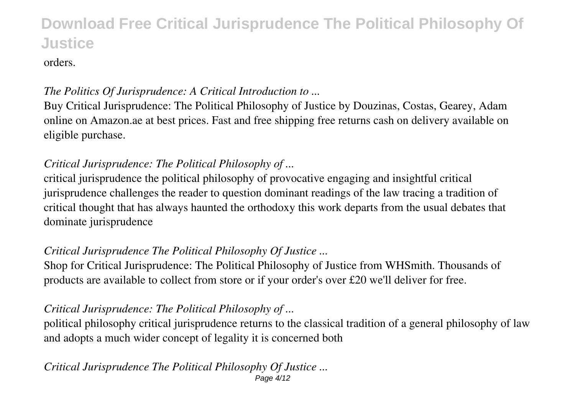orders.

### *The Politics Of Jurisprudence: A Critical Introduction to ...*

Buy Critical Jurisprudence: The Political Philosophy of Justice by Douzinas, Costas, Gearey, Adam online on Amazon.ae at best prices. Fast and free shipping free returns cash on delivery available on eligible purchase.

### *Critical Jurisprudence: The Political Philosophy of ...*

critical jurisprudence the political philosophy of provocative engaging and insightful critical jurisprudence challenges the reader to question dominant readings of the law tracing a tradition of critical thought that has always haunted the orthodoxy this work departs from the usual debates that dominate jurisprudence

## *Critical Jurisprudence The Political Philosophy Of Justice ...*

Shop for Critical Jurisprudence: The Political Philosophy of Justice from WHSmith. Thousands of products are available to collect from store or if your order's over £20 we'll deliver for free.

## *Critical Jurisprudence: The Political Philosophy of ...*

political philosophy critical jurisprudence returns to the classical tradition of a general philosophy of law and adopts a much wider concept of legality it is concerned both

#### *Critical Jurisprudence The Political Philosophy Of Justice ...* Page 4/12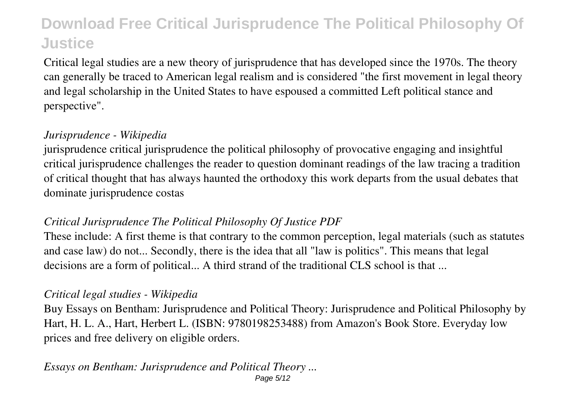Critical legal studies are a new theory of jurisprudence that has developed since the 1970s. The theory can generally be traced to American legal realism and is considered "the first movement in legal theory and legal scholarship in the United States to have espoused a committed Left political stance and perspective".

### *Jurisprudence - Wikipedia*

jurisprudence critical jurisprudence the political philosophy of provocative engaging and insightful critical jurisprudence challenges the reader to question dominant readings of the law tracing a tradition of critical thought that has always haunted the orthodoxy this work departs from the usual debates that dominate jurisprudence costas

### *Critical Jurisprudence The Political Philosophy Of Justice PDF*

These include: A first theme is that contrary to the common perception, legal materials (such as statutes and case law) do not... Secondly, there is the idea that all "law is politics". This means that legal decisions are a form of political... A third strand of the traditional CLS school is that ...

### *Critical legal studies - Wikipedia*

Buy Essays on Bentham: Jurisprudence and Political Theory: Jurisprudence and Political Philosophy by Hart, H. L. A., Hart, Herbert L. (ISBN: 9780198253488) from Amazon's Book Store. Everyday low prices and free delivery on eligible orders.

#### *Essays on Bentham: Jurisprudence and Political Theory ...* Page 5/12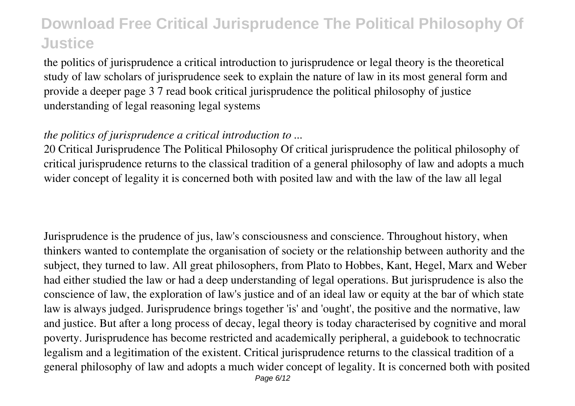the politics of jurisprudence a critical introduction to jurisprudence or legal theory is the theoretical study of law scholars of jurisprudence seek to explain the nature of law in its most general form and provide a deeper page 3 7 read book critical jurisprudence the political philosophy of justice understanding of legal reasoning legal systems

### *the politics of jurisprudence a critical introduction to ...*

20 Critical Jurisprudence The Political Philosophy Of critical jurisprudence the political philosophy of critical jurisprudence returns to the classical tradition of a general philosophy of law and adopts a much wider concept of legality it is concerned both with posited law and with the law of the law all legal

Jurisprudence is the prudence of jus, law's consciousness and conscience. Throughout history, when thinkers wanted to contemplate the organisation of society or the relationship between authority and the subject, they turned to law. All great philosophers, from Plato to Hobbes, Kant, Hegel, Marx and Weber had either studied the law or had a deep understanding of legal operations. But jurisprudence is also the conscience of law, the exploration of law's justice and of an ideal law or equity at the bar of which state law is always judged. Jurisprudence brings together 'is' and 'ought', the positive and the normative, law and justice. But after a long process of decay, legal theory is today characterised by cognitive and moral poverty. Jurisprudence has become restricted and academically peripheral, a guidebook to technocratic legalism and a legitimation of the existent. Critical jurisprudence returns to the classical tradition of a general philosophy of law and adopts a much wider concept of legality. It is concerned both with posited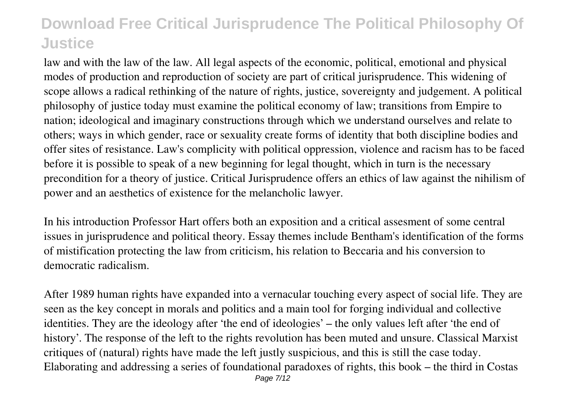law and with the law of the law. All legal aspects of the economic, political, emotional and physical modes of production and reproduction of society are part of critical jurisprudence. This widening of scope allows a radical rethinking of the nature of rights, justice, sovereignty and judgement. A political philosophy of justice today must examine the political economy of law; transitions from Empire to nation; ideological and imaginary constructions through which we understand ourselves and relate to others; ways in which gender, race or sexuality create forms of identity that both discipline bodies and offer sites of resistance. Law's complicity with political oppression, violence and racism has to be faced before it is possible to speak of a new beginning for legal thought, which in turn is the necessary precondition for a theory of justice. Critical Jurisprudence offers an ethics of law against the nihilism of power and an aesthetics of existence for the melancholic lawyer.

In his introduction Professor Hart offers both an exposition and a critical assesment of some central issues in jurisprudence and political theory. Essay themes include Bentham's identification of the forms of mistification protecting the law from criticism, his relation to Beccaria and his conversion to democratic radicalism.

After 1989 human rights have expanded into a vernacular touching every aspect of social life. They are seen as the key concept in morals and politics and a main tool for forging individual and collective identities. They are the ideology after 'the end of ideologies' – the only values left after 'the end of history'. The response of the left to the rights revolution has been muted and unsure. Classical Marxist critiques of (natural) rights have made the left justly suspicious, and this is still the case today. Elaborating and addressing a series of foundational paradoxes of rights, this book – the third in Costas Page 7/12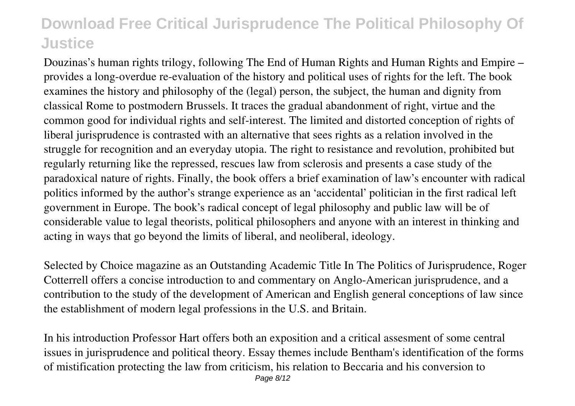Douzinas's human rights trilogy, following The End of Human Rights and Human Rights and Empire – provides a long-overdue re-evaluation of the history and political uses of rights for the left. The book examines the history and philosophy of the (legal) person, the subject, the human and dignity from classical Rome to postmodern Brussels. It traces the gradual abandonment of right, virtue and the common good for individual rights and self-interest. The limited and distorted conception of rights of liberal jurisprudence is contrasted with an alternative that sees rights as a relation involved in the struggle for recognition and an everyday utopia. The right to resistance and revolution, prohibited but regularly returning like the repressed, rescues law from sclerosis and presents a case study of the paradoxical nature of rights. Finally, the book offers a brief examination of law's encounter with radical politics informed by the author's strange experience as an 'accidental' politician in the first radical left government in Europe. The book's radical concept of legal philosophy and public law will be of considerable value to legal theorists, political philosophers and anyone with an interest in thinking and acting in ways that go beyond the limits of liberal, and neoliberal, ideology.

Selected by Choice magazine as an Outstanding Academic Title In The Politics of Jurisprudence, Roger Cotterrell offers a concise introduction to and commentary on Anglo-American jurisprudence, and a contribution to the study of the development of American and English general conceptions of law since the establishment of modern legal professions in the U.S. and Britain.

In his introduction Professor Hart offers both an exposition and a critical assesment of some central issues in jurisprudence and political theory. Essay themes include Bentham's identification of the forms of mistification protecting the law from criticism, his relation to Beccaria and his conversion to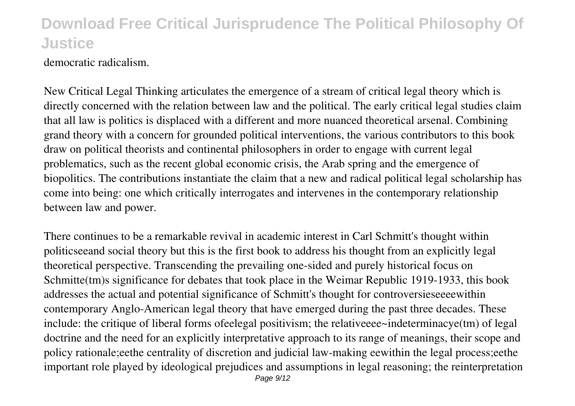democratic radicalism.

New Critical Legal Thinking articulates the emergence of a stream of critical legal theory which is directly concerned with the relation between law and the political. The early critical legal studies claim that all law is politics is displaced with a different and more nuanced theoretical arsenal. Combining grand theory with a concern for grounded political interventions, the various contributors to this book draw on political theorists and continental philosophers in order to engage with current legal problematics, such as the recent global economic crisis, the Arab spring and the emergence of biopolitics. The contributions instantiate the claim that a new and radical political legal scholarship has come into being: one which critically interrogates and intervenes in the contemporary relationship between law and power.

There continues to be a remarkable revival in academic interest in Carl Schmitt's thought within politicseeand social theory but this is the first book to address his thought from an explicitly legal theoretical perspective. Transcending the prevailing one-sided and purely historical focus on Schmitte(tm)s significance for debates that took place in the Weimar Republic 1919-1933, this book addresses the actual and potential significance of Schmitt's thought for controversieseeeewithin contemporary Anglo-American legal theory that have emerged during the past three decades. These include: the critique of liberal forms ofeelegal positivism; the relativeeee~indeterminacye(tm) of legal doctrine and the need for an explicitly interpretative approach to its range of meanings, their scope and policy rationale;eethe centrality of discretion and judicial law-making eewithin the legal process;eethe important role played by ideological prejudices and assumptions in legal reasoning; the reinterpretation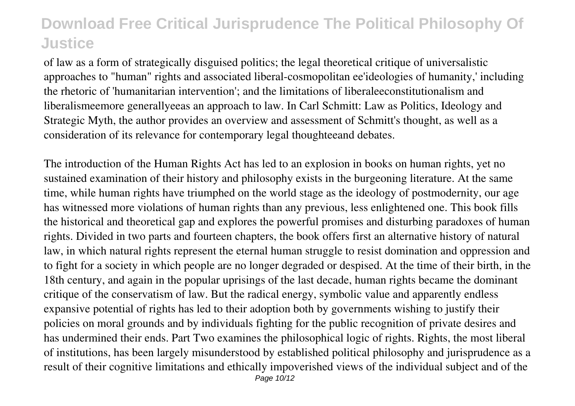of law as a form of strategically disguised politics; the legal theoretical critique of universalistic approaches to "human" rights and associated liberal-cosmopolitan ee'ideologies of humanity,' including the rhetoric of 'humanitarian intervention'; and the limitations of liberaleeconstitutionalism and liberalismeemore generallyeeas an approach to law. In Carl Schmitt: Law as Politics, Ideology and Strategic Myth, the author provides an overview and assessment of Schmitt's thought, as well as a consideration of its relevance for contemporary legal thoughteeand debates.

The introduction of the Human Rights Act has led to an explosion in books on human rights, yet no sustained examination of their history and philosophy exists in the burgeoning literature. At the same time, while human rights have triumphed on the world stage as the ideology of postmodernity, our age has witnessed more violations of human rights than any previous, less enlightened one. This book fills the historical and theoretical gap and explores the powerful promises and disturbing paradoxes of human rights. Divided in two parts and fourteen chapters, the book offers first an alternative history of natural law, in which natural rights represent the eternal human struggle to resist domination and oppression and to fight for a society in which people are no longer degraded or despised. At the time of their birth, in the 18th century, and again in the popular uprisings of the last decade, human rights became the dominant critique of the conservatism of law. But the radical energy, symbolic value and apparently endless expansive potential of rights has led to their adoption both by governments wishing to justify their policies on moral grounds and by individuals fighting for the public recognition of private desires and has undermined their ends. Part Two examines the philosophical logic of rights. Rights, the most liberal of institutions, has been largely misunderstood by established political philosophy and jurisprudence as a result of their cognitive limitations and ethically impoverished views of the individual subject and of the Page 10/12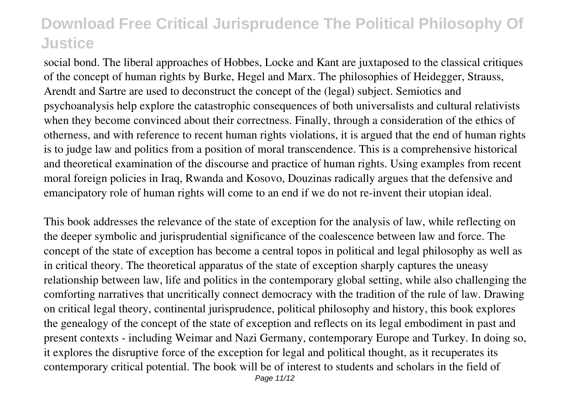social bond. The liberal approaches of Hobbes, Locke and Kant are juxtaposed to the classical critiques of the concept of human rights by Burke, Hegel and Marx. The philosophies of Heidegger, Strauss, Arendt and Sartre are used to deconstruct the concept of the (legal) subject. Semiotics and psychoanalysis help explore the catastrophic consequences of both universalists and cultural relativists when they become convinced about their correctness. Finally, through a consideration of the ethics of otherness, and with reference to recent human rights violations, it is argued that the end of human rights is to judge law and politics from a position of moral transcendence. This is a comprehensive historical and theoretical examination of the discourse and practice of human rights. Using examples from recent moral foreign policies in Iraq, Rwanda and Kosovo, Douzinas radically argues that the defensive and emancipatory role of human rights will come to an end if we do not re-invent their utopian ideal.

This book addresses the relevance of the state of exception for the analysis of law, while reflecting on the deeper symbolic and jurisprudential significance of the coalescence between law and force. The concept of the state of exception has become a central topos in political and legal philosophy as well as in critical theory. The theoretical apparatus of the state of exception sharply captures the uneasy relationship between law, life and politics in the contemporary global setting, while also challenging the comforting narratives that uncritically connect democracy with the tradition of the rule of law. Drawing on critical legal theory, continental jurisprudence, political philosophy and history, this book explores the genealogy of the concept of the state of exception and reflects on its legal embodiment in past and present contexts - including Weimar and Nazi Germany, contemporary Europe and Turkey. In doing so, it explores the disruptive force of the exception for legal and political thought, as it recuperates its contemporary critical potential. The book will be of interest to students and scholars in the field of